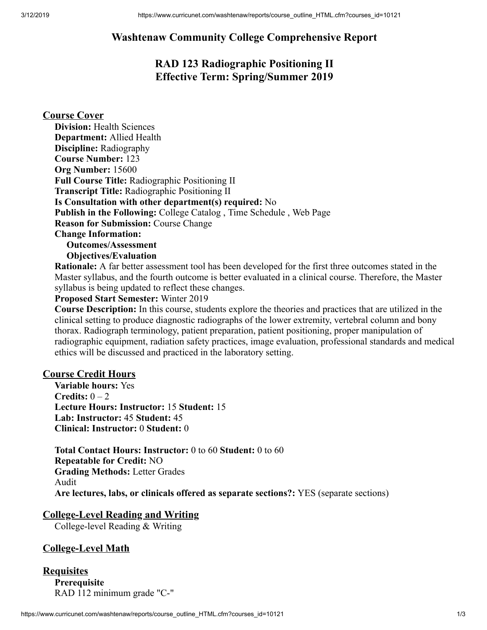# **Washtenaw Community College Comprehensive Report**

# **RAD 123 Radiographic Positioning II Effective Term: Spring/Summer 2019**

### **Course Cover**

| <b>Division:</b> Health Sciences                                          |
|---------------------------------------------------------------------------|
| <b>Department:</b> Allied Health                                          |
| <b>Discipline:</b> Radiography                                            |
| <b>Course Number: 123</b>                                                 |
| Org Number: 15600                                                         |
| <b>Full Course Title: Radiographic Positioning II</b>                     |
| <b>Transcript Title: Radiographic Positioning II</b>                      |
| Is Consultation with other department(s) required: No                     |
| <b>Publish in the Following:</b> College Catalog, Time Schedule, Web Page |
| <b>Reason for Submission: Course Change</b>                               |
| <b>Change Information:</b>                                                |
| <b>Outcomes/Assessment</b>                                                |
| <b>Objectives/Evaluation</b>                                              |

**Rationale:** A far better assessment tool has been developed for the first three outcomes stated in the Master syllabus, and the fourth outcome is better evaluated in a clinical course. Therefore, the Master syllabus is being updated to reflect these changes.

#### **Proposed Start Semester:** Winter 2019

**Course Description:** In this course, students explore the theories and practices that are utilized in the clinical setting to produce diagnostic radiographs of the lower extremity, vertebral column and bony thorax. Radiograph terminology, patient preparation, patient positioning, proper manipulation of radiographic equipment, radiation safety practices, image evaluation, professional standards and medical ethics will be discussed and practiced in the laboratory setting.

#### **Course Credit Hours**

**Variable hours:** Yes **Credits:** 0 – 2 **Lecture Hours: Instructor:** 15 **Student:** 15 **Lab: Instructor:** 45 **Student:** 45 **Clinical: Instructor:** 0 **Student:** 0

**Total Contact Hours: Instructor:** 0 to 60 **Student:** 0 to 60 **Repeatable for Credit:** NO **Grading Methods:** Letter Grades Audit **Are lectures, labs, or clinicals offered as separate sections?:** YES (separate sections)

#### **College-Level Reading and Writing**

College-level Reading & Writing

### **College-Level Math**

**Requisites Prerequisite** RAD 112 minimum grade "C-"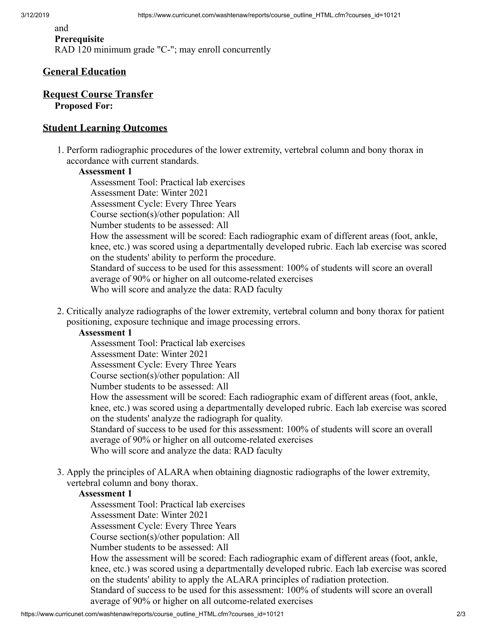#### and **Prerequisite** RAD 120 minimum grade "C-"; may enroll concurrently

#### **General Education**

#### **Request Course Transfer Proposed For:**

#### **Student Learning Outcomes**

1. Perform radiographic procedures of the lower extremity, vertebral column and bony thorax in accordance with current standards.

#### **Assessment 1**

Assessment Tool: Practical lab exercises Assessment Date: Winter 2021 Assessment Cycle: Every Three Years Course section(s)/other population: All Number students to be assessed: All How the assessment will be scored: Each radiographic exam of different areas (foot, ankle, knee, etc.) was scored using a departmentally developed rubric. Each lab exercise was scored on the students' ability to perform the procedure. Standard of success to be used for this assessment: 100% of students will score an overall average of 90% or higher on all outcome-related exercises Who will score and analyze the data: RAD faculty

2. Critically analyze radiographs of the lower extremity, vertebral column and bony thorax for patient positioning, exposure technique and image processing errors.

#### **Assessment 1**

Assessment Tool: Practical lab exercises

Assessment Date: Winter 2021

Assessment Cycle: Every Three Years

Course section(s)/other population: All

Number students to be assessed: All

How the assessment will be scored: Each radiographic exam of different areas (foot, ankle, knee, etc.) was scored using a departmentally developed rubric. Each lab exercise was scored on the students' analyze the radiograph for quality.

Standard of success to be used for this assessment: 100% of students will score an overall average of 90% or higher on all outcome-related exercises

Who will score and analyze the data: RAD faculty

3. Apply the principles of ALARA when obtaining diagnostic radiographs of the lower extremity, vertebral column and bony thorax.

#### **Assessment 1**

Assessment Tool: Practical lab exercises

Assessment Date: Winter 2021

Assessment Cycle: Every Three Years

Course section(s)/other population: All

Number students to be assessed: All

How the assessment will be scored: Each radiographic exam of different areas (foot, ankle, knee, etc.) was scored using a departmentally developed rubric. Each lab exercise was scored on the students' ability to apply the ALARA principles of radiation protection.

Standard of success to be used for this assessment: 100% of students will score an overall average of 90% or higher on all outcome-related exercises